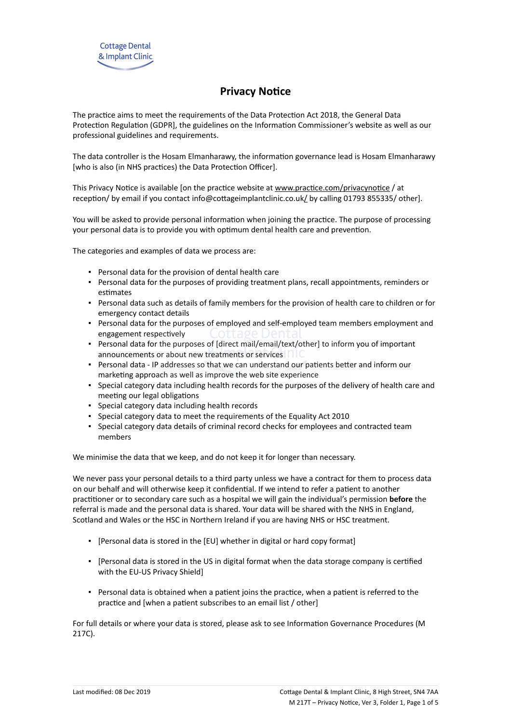# **Privacy Notice**

The practice aims to meet the requirements of the Data Protection Act 2018, the General Data Protection Regulation (GDPR], the guidelines on the Information Commissioner's website as well as our professional guidelines and requirements.

The data controller is the Hosam Elmanharawy, the information governance lead is Hosam Elmanharawy [who is also (in NHS practices) the Data Protection Officer].

This Privacy Notice is available [on the practice website at [www.practice.com/privacynotice](http://www.practice.com/) / at reception/ by email if you contact info@cottageimplantclinic.co.uk[/](mailto:info@practice.com) by calling 01793 855335/ other].

You will be asked to provide personal information when joining the practice. The purpose of processing your personal data is to provide you with optimum dental health care and prevention.

The categories and examples of data we process are:

- Personal data for the provision of dental health care
- Personal data for the purposes of providing treatment plans, recall appointments, reminders or estimates
- Personal data such as details of family members for the provision of health care to children or for emergency contact details
- Personal data for the purposes of employed and self-employed team members employment and engagement respectively
- Personal data for the purposes of [direct mail/email/text/other] to inform you of important announcements or about new treatments or services
- Personal data IP addresses so that we can understand our patients better and inform our marketing approach as well as improve the web site experience
- Special category data including health records for the purposes of the delivery of health care and meeting our legal obligations
- Special category data including health records
- Special category data to meet the requirements of the Equality Act 2010
- Special category data details of criminal record checks for employees and contracted team members

We minimise the data that we keep, and do not keep it for longer than necessary.

We never pass your personal details to a third party unless we have a contract for them to process data on our behalf and will otherwise keep it confidential. If we intend to refer a patient to another practitioner or to secondary care such as a hospital we will gain the individual's permission **before** the referral is made and the personal data is shared. Your data will be shared with the NHS in England, Scotland and Wales or the HSC in Northern Ireland if you are having NHS or HSC treatment.

- [Personal data is stored in the [EU] whether in digital or hard copy format]
- [Personal data is stored in the US in digital format when the data storage company is certified with the EU-US Privacy Shield]
- Personal data is obtained when a patient joins the practice, when a patient is referred to the practice and [when a patient subscribes to an email list / other]

For full details or where your data is stored, please ask to see Information Governance Procedures (M 217C).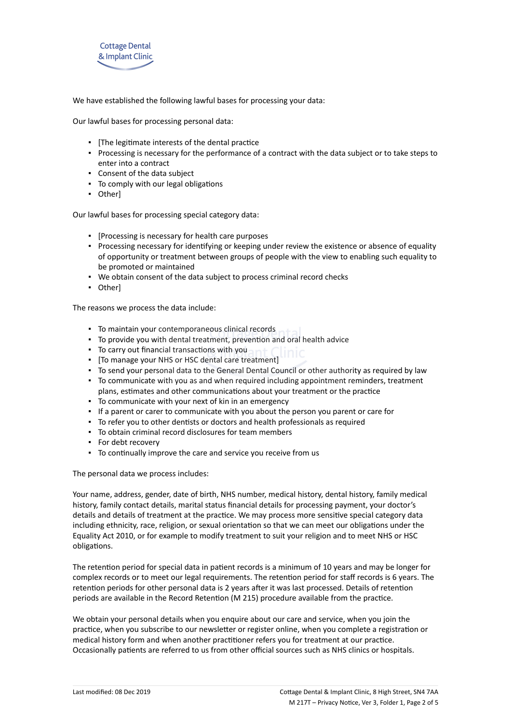

We have established the following lawful bases for processing your data:

Our lawful bases for processing personal data:

- [The legitimate interests of the dental practice
- Processing is necessary for the performance of a contract with the data subject or to take steps to enter into a contract
- Consent of the data subject
- To comply with our legal obligations
- Other]

Our lawful bases for processing special category data:

- [Processing is necessary for health care purposes
- Processing necessary for identifying or keeping under review the existence or absence of equality of opportunity or treatment between groups of people with the view to enabling such equality to be promoted or maintained
- We obtain consent of the data subject to process criminal record checks
- Other]

The reasons we process the data include:

- **To maintain your contemporaneous clinical records**
- To provide you with dental treatment, prevention and oral health advice
- To carry out financial transactions with you
- To carry out financial transactions with you<br>■ [To manage your NHS or HSC dental care treatment]
- To send your personal data to the General Dental Council or other authority as required by law
- To communicate with you as and when required including appointment reminders, treatment plans, estimates and other communications about your treatment or the practice
- To communicate with your next of kin in an emergency
- If a parent or carer to communicate with you about the person you parent or care for
- To refer you to other dentists or doctors and health professionals as required
- To obtain criminal record disclosures for team members
- For debt recovery
- To continually improve the care and service you receive from us

The personal data we process includes:

Your name, address, gender, date of birth, NHS number, medical history, dental history, family medical history, family contact details, marital status financial details for processing payment, your doctor's details and details of treatment at the practice. We may process more sensitive special category data including ethnicity, race, religion, or sexual orientation so that we can meet our obligations under the Equality Act 2010, or for example to modify treatment to suit your religion and to meet NHS or HSC obligations.

The retention period for special data in patient records is a minimum of 10 years and may be longer for complex records or to meet our legal requirements. The retention period for staff records is 6 years. The retention periods for other personal data is 2 years after it was last processed. Details of retention periods are available in the Record Retention (M 215) procedure available from the practice.

We obtain your personal details when you enquire about our care and service, when you join the practice, when you subscribe to our newsletter or register online, when you complete a registration or medical history form and when another practitioner refers you for treatment at our practice. Occasionally patients are referred to us from other official sources such as NHS clinics or hospitals.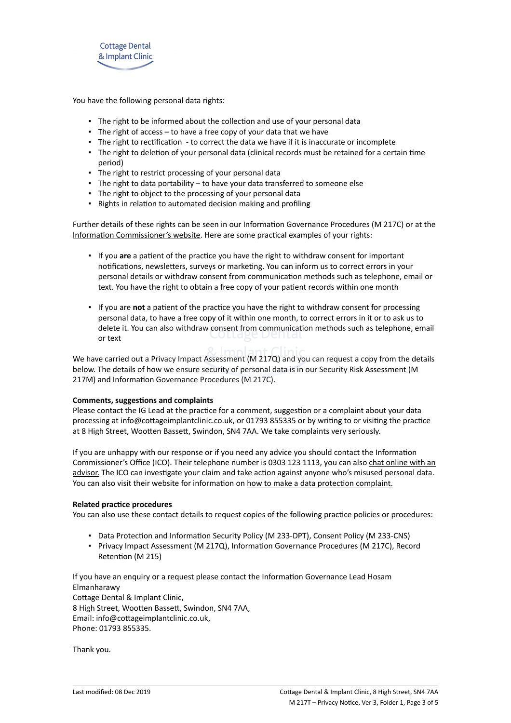

You have the following personal data rights:

- **.** The right to be informed about the collection and use of your personal data
- **•** The right of access  $-$  to have a free copy of your data that we have
- The right to rectification to correct the data we have if it is inaccurate or incomplete
- The right to deletion of your personal data (clinical records must be retained for a certain time period)
- **·** The right to restrict processing of your personal data
- The right to data portability to have your data transferred to someone else
- The right to object to the processing of your personal data
- Rights in relation to automated decision making and profiling

Further details of these rights can be seen in our Information Governance Procedures (M 217C) or at the [Information Commissioner's website](https://ico.org.uk/for-organisations/guide-to-the-general-data-protection-regulation-gdpr/individual-rights/). Here are some practical examples of your rights:

- If you **are** a patient of the practice you have the right to withdraw consent for important notifications, newsletters, surveys or marketing. You can inform us to correct errors in your personal details or withdraw consent from communication methods such as telephone, email or text. You have the right to obtain a free copy of your patient records within one month
- If you are **not** a patient of the practice you have the right to withdraw consent for processing personal data, to have a free copy of it within one month, to correct errors in it or to ask us to delete it. You can also withdraw consent from communication methods such as telephone, email or text

We have carried out a Privacy Impact Assessment (M 217Q) and you can request a copy from the details below. The details of how we ensure security of personal data is in our Security Risk Assessment (M 217M) and Information Governance Procedures (M 217C).

### **Comments, suggestions and complaints**

Please contact the IG Lead at the practice for a comment, suggestion or a complaint about your data processing at info@cottageimplantclinic.co.uk, or 01793 855335 or by writing to or visiting the practice at 8 High Street, Wootten Bassett, Swindon, SN4 7AA. We take complaints very seriously.

If you are unhappy with our response or if you need any advice you should contact the Information Commissioner's Office (ICO). Their telephone number is 0303 123 1113, you can also [chat online with an](https://ico.org.uk/global/contact-us/live-chat/) [advisor.](https://ico.org.uk/global/contact-us/live-chat/) The ICO can investigate your claim and take action against anyone who's misused personal data. You can also visit their website for information on [how to make a data protection complaint.](http://www.ico.org.uk/complaints)

### **Related practice procedures**

You can also use these contact details to request copies of the following practice policies or procedures:

- Data Protection and Information Security Policy (M 233-DPT), Consent Policy (M 233-CNS)
- Privacy Impact Assessment (M 217Q), Information Governance Procedures (M 217C), Record Retention (M 215)

If you have an enquiry or a request please contact the Information Governance Lead Hosam Elmanharawy Cottage Dental & Implant Clinic, 8 High Street, Wootten Bassett, Swindon, SN4 7AA, Email: info@cottageimplantclinic.co.uk, Phone: 01793 855335.

Thank you.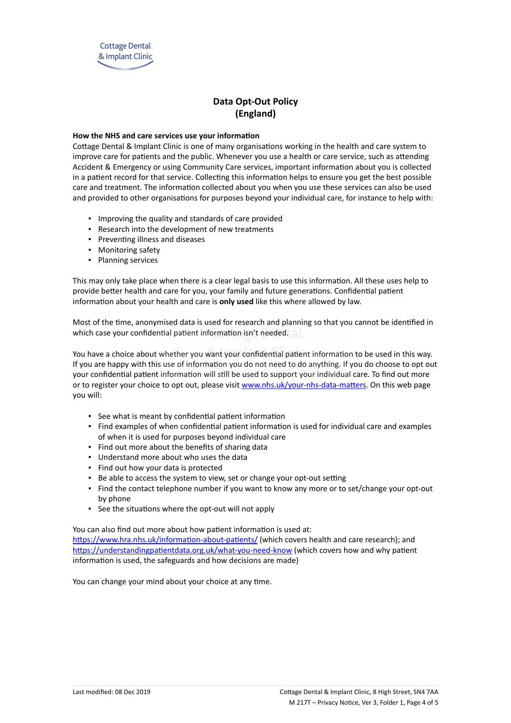

# **Data Opt-Out Policy (England)**

## **How the NHS and care services use your information**

Cottage Dental & Implant Clinic is one of many organisations working in the health and care system to improve care for patients and the public. Whenever you use a health or care service, such as attending Accident & Emergency or using Community Care services, important information about you is collected in a patient record for that service. Collecting this information helps to ensure you get the best possible care and treatment. The information collected about you when you use these services can also be used and provided to other organisations for purposes beyond your individual care, for instance to help with:

- Improving the quality and standards of care provided
- Research into the development of new treatments
- Preventing illness and diseases
- Monitoring safety
- Planning services

This may only take place when there is a clear legal basis to use this information. All these uses help to provide better health and care for you, your family and future generations. Confidential patient information about your health and care is **only used** like this where allowed by law.

Most of the time, anonymised data is used for research and planning so that you cannot be identified in which case your confidential patient information isn't needed.

You have a choice about whether you want your confidential patient information to be used in this way. If you are happy with this use of information you do not need to do anything. If you do choose to opt out your confidential patient information will still be used to support your individual care. To find out more or to register your choice to opt out, please visit [www.nhs.uk/your-nhs-data-matters](http://www.nhs.uk/your-nhs-data-matters). On this web page you will:

- See what is meant by confidential patient information
- Find examples of when confidential patient information is used for individual care and examples of when it is used for purposes beyond individual care
- Find out more about the benefits of sharing data
- Understand more about who uses the data
- Find out how your data is protected
- Be able to access the system to view, set or change your opt-out setting
- Find the contact telephone number if you want to know any more or to set/change your opt-out by phone
- See the situations where the opt-out will not apply

You can also find out more about how patient information is used at:

[https://www.hra.nhs.uk/information-about-patients/](https://www.hra.nhs.uk/information-about-patients/%20) (which covers health and care research); and <https://understandingpatientdata.org.uk/what-you-need-know> (which covers how and why patient information is used, the safeguards and how decisions are made)

You can change your mind about your choice at any time.